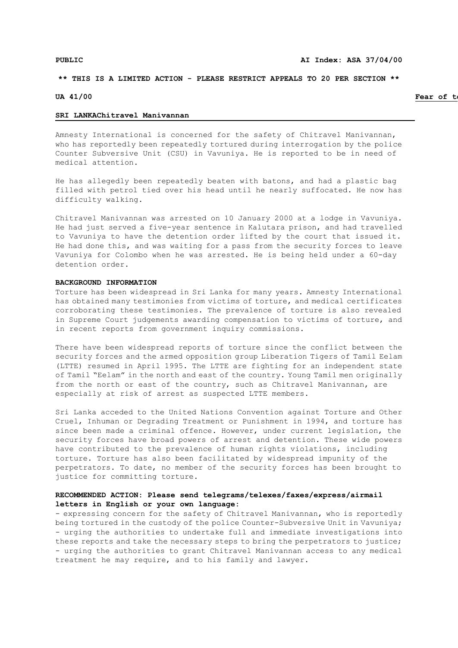## **\*\* THIS IS A LIMITED ACTION - PLEASE RESTRICT APPEALS TO 20 PER SECTION \*\***

### **UA 41/00 Fear of torture Fear of torture 17 Fear of torture** *Fear of torture* **<b>***Fear of torture*

#### **SRI LANKAChitravel Manivannan**

Amnesty International is concerned for the safety of Chitravel Manivannan, who has reportedly been repeatedly tortured during interrogation by the police Counter Subversive Unit (CSU) in Vavuniya. He is reported to be in need of medical attention.

He has allegedly been repeatedly beaten with batons, and had a plastic bag filled with petrol tied over his head until he nearly suffocated. He now has difficulty walking.

Chitravel Manivannan was arrested on 10 January 2000 at a lodge in Vavuniya. He had just served a five-year sentence in Kalutara prison, and had travelled to Vavuniya to have the detention order lifted by the court that issued it. He had done this, and was waiting for a pass from the security forces to leave Vavuniya for Colombo when he was arrested. He is being held under a 60-day detention order.

### **BACKGROUND INFORMATION**

Torture has been widespread in Sri Lanka for many years. Amnesty International has obtained many testimonies from victims of torture, and medical certificates corroborating these testimonies. The prevalence of torture is also revealed in Supreme Court judgements awarding compensation to victims of torture, and in recent reports from government inquiry commissions.

There have been widespread reports of torture since the conflict between the security forces and the armed opposition group Liberation Tigers of Tamil Eelam (LTTE) resumed in April 1995. The LTTE are fighting for an independent state of Tamil "Eelam" in the north and east of the country. Young Tamil men originally from the north or east of the country, such as Chitravel Manivannan, are especially at risk of arrest as suspected LTTE members.

Sri Lanka acceded to the United Nations Convention against Torture and Other Cruel, Inhuman or Degrading Treatment or Punishment in 1994, and torture has since been made a criminal offence. However, under current legislation, the security forces have broad powers of arrest and detention. These wide powers have contributed to the prevalence of human rights violations, including torture. Torture has also been facilitated by widespread impunity of the perpetrators. To date, no member of the security forces has been brought to justice for committing torture.

# **RECOMMENDED ACTION: Please send telegrams/telexes/faxes/express/airmail letters in English or your own language:**

- expressing concern for the safety of Chitravel Manivannan, who is reportedly being tortured in the custody of the police Counter-Subversive Unit in Vavuniya; - urging the authorities to undertake full and immediate investigations into these reports and take the necessary steps to bring the perpetrators to justice; - urging the authorities to grant Chitravel Manivannan access to any medical treatment he may require, and to his family and lawyer.